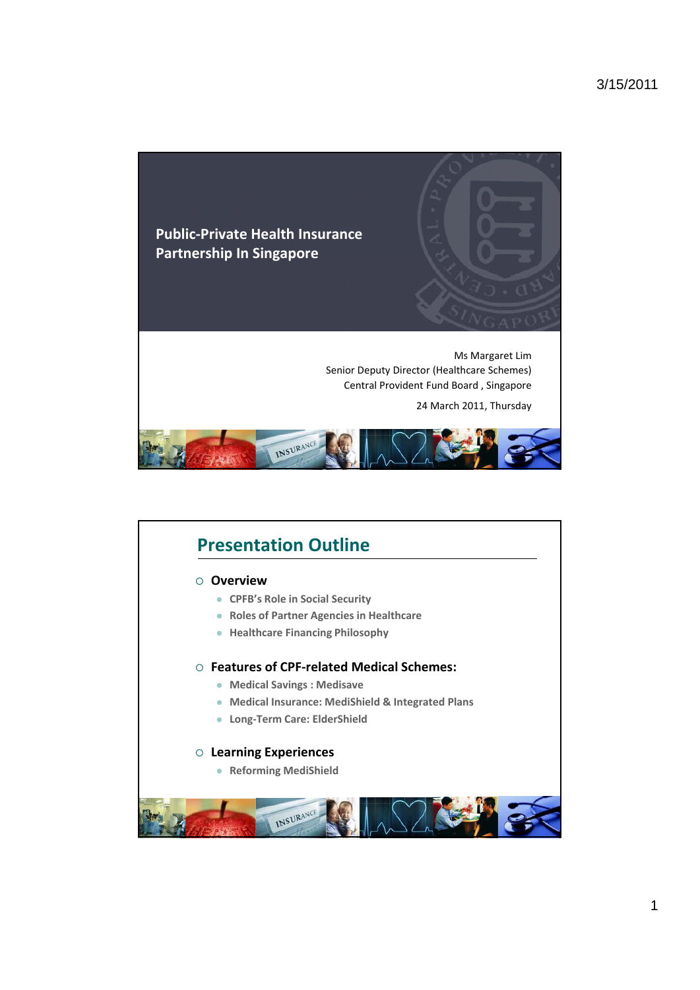

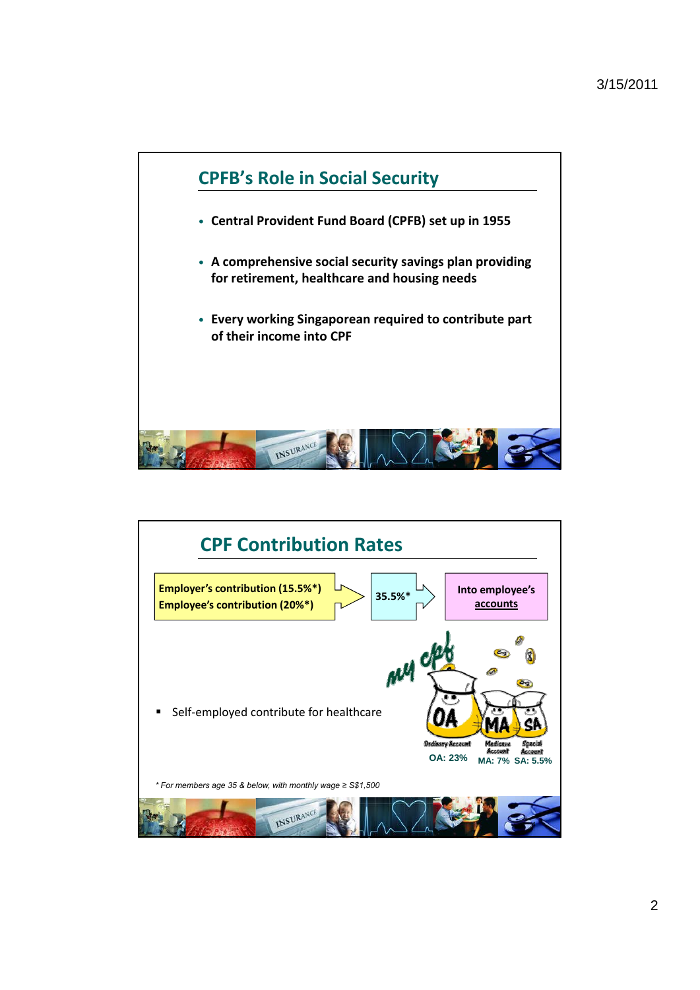

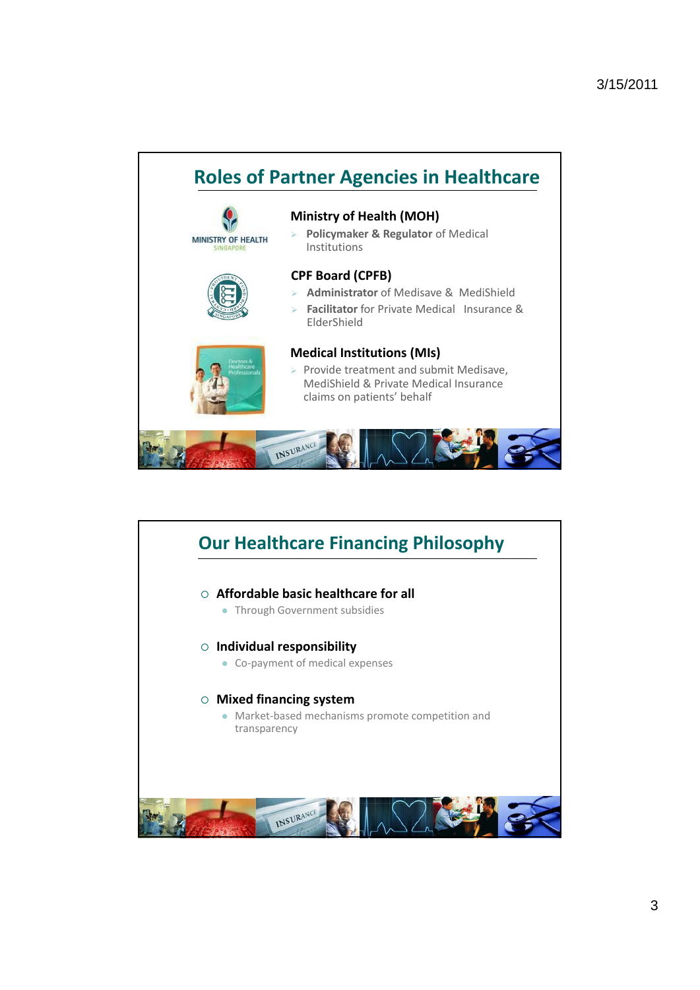

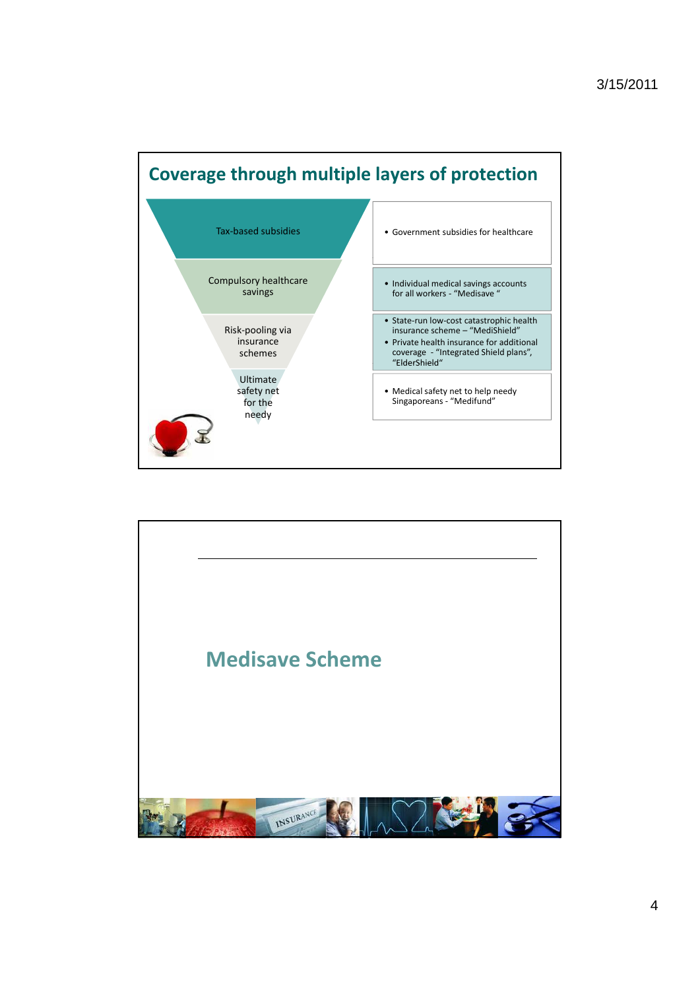

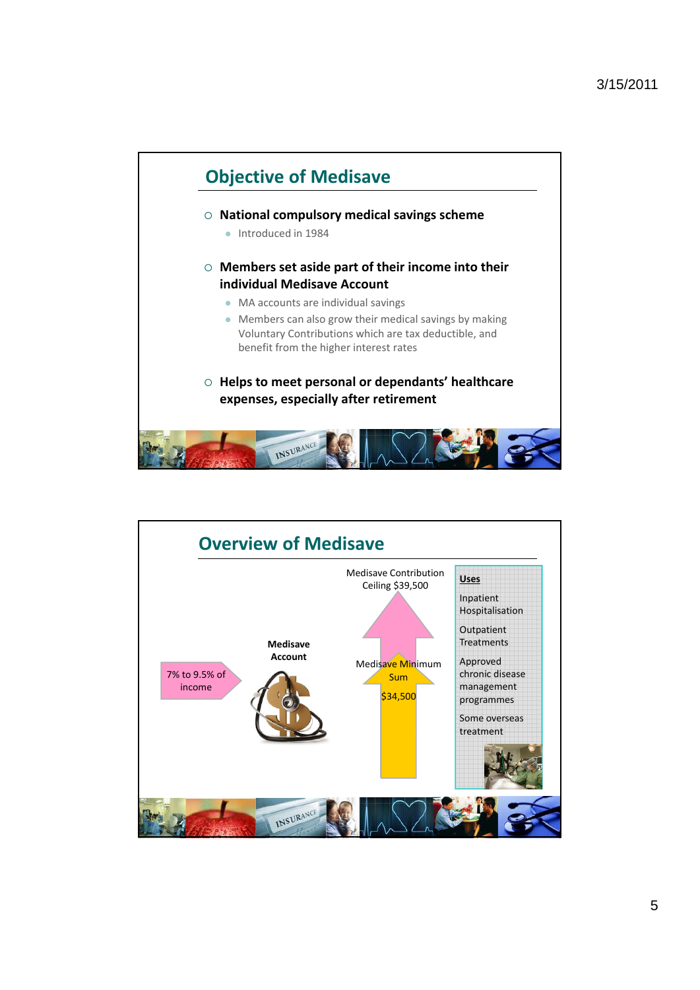

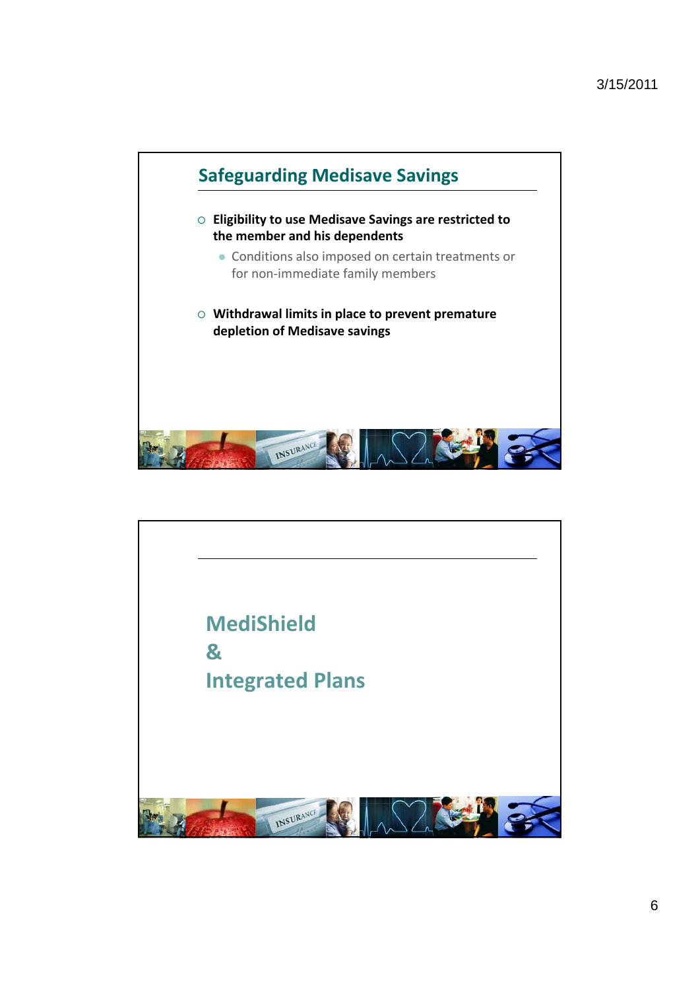

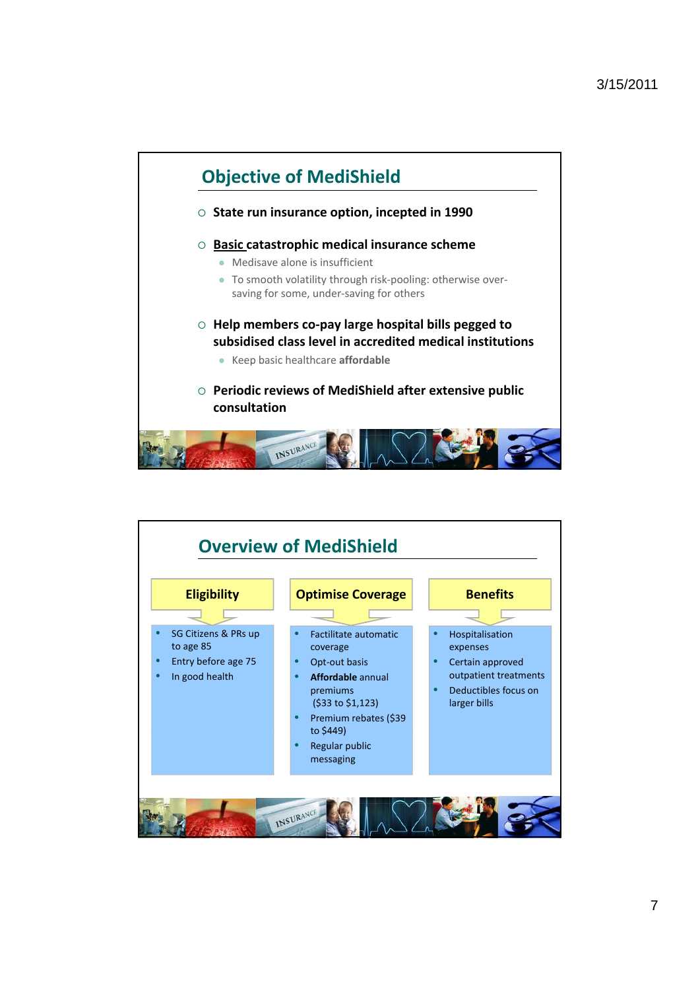

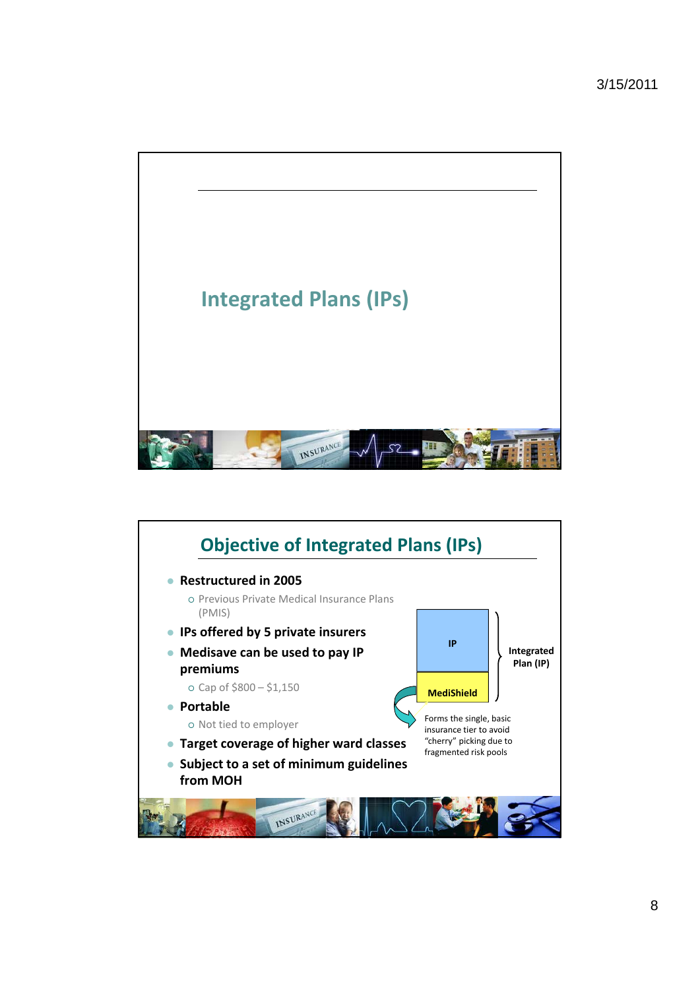

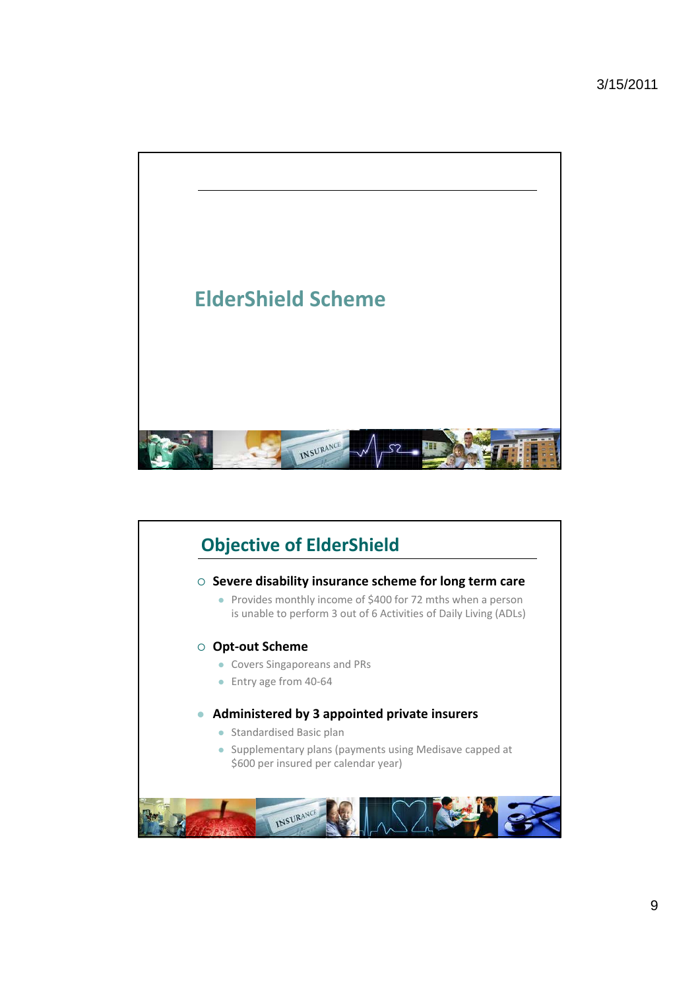

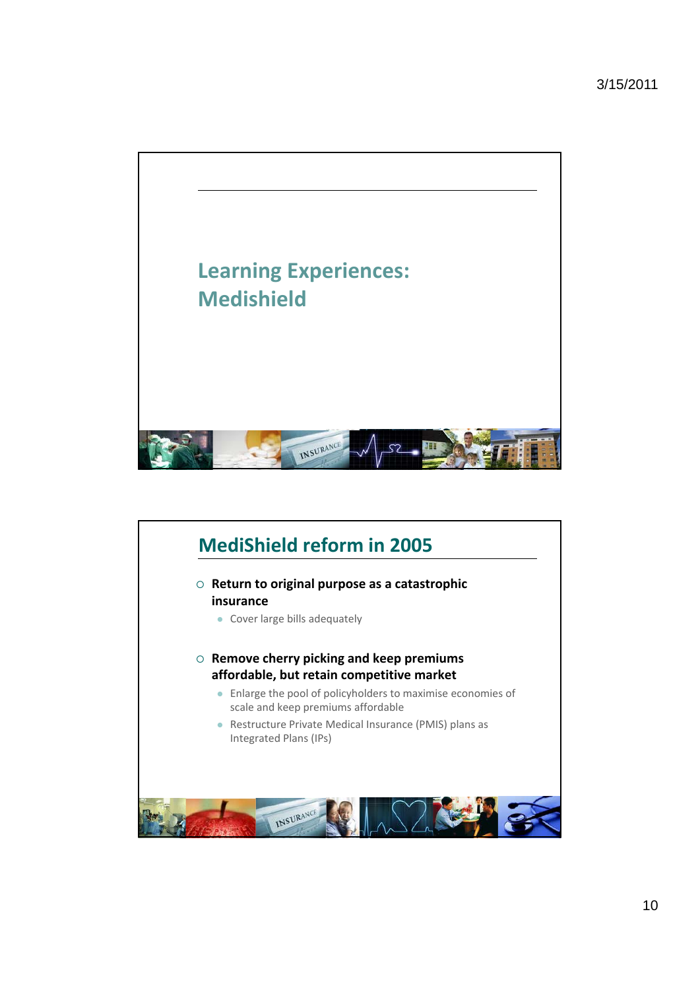

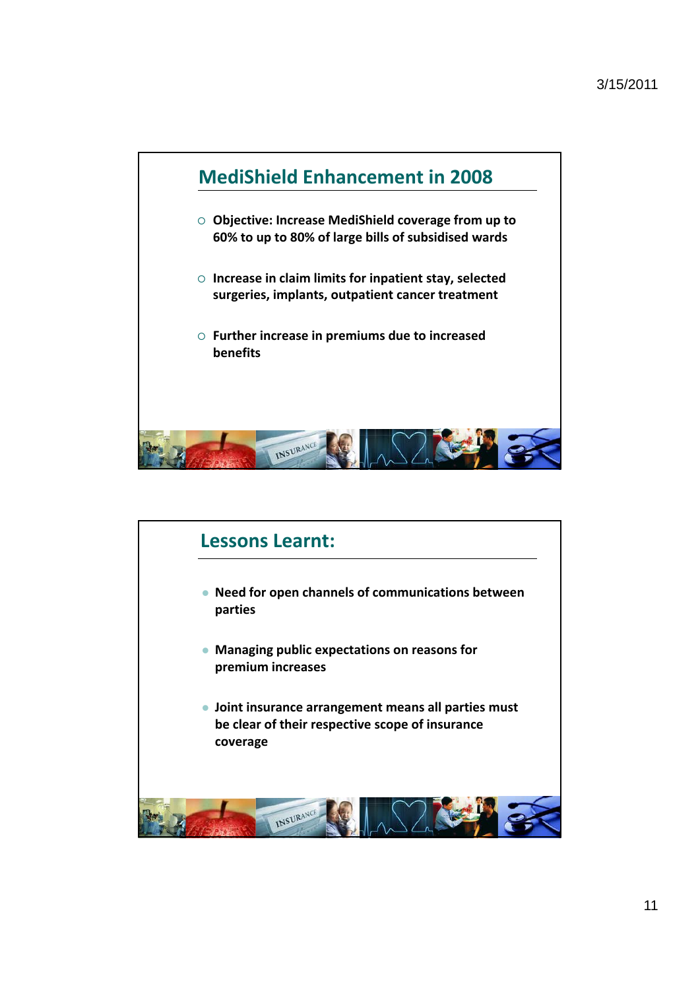